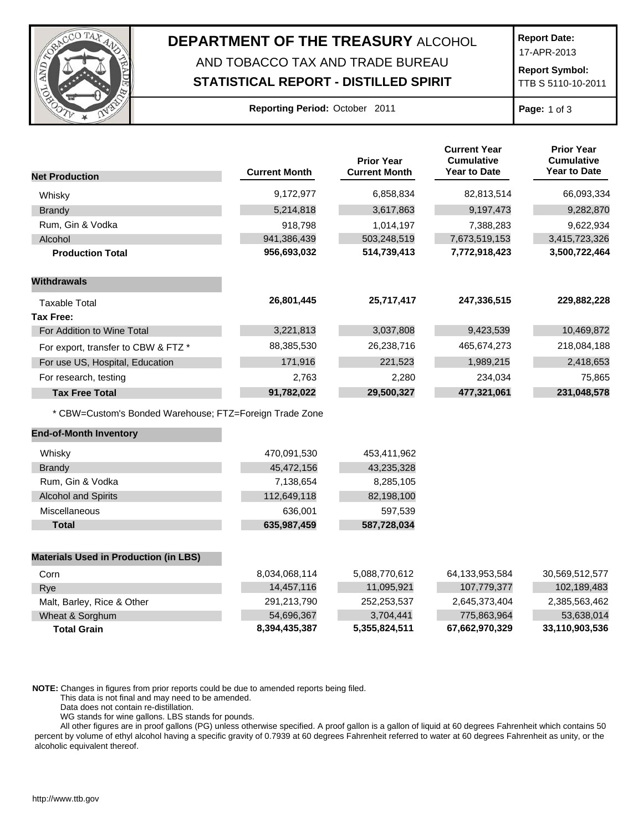

## **DEPARTMENT OF THE TREASURY** ALCOHOL AND TOBACCO TAX AND TRADE BUREAU

## **STATISTICAL REPORT - DISTILLED SPIRIT**

**Report Date:**

17-APR-2013

**Report Symbol:** TTB S 5110-10-2011

| Reporting Period: October 2011 |  |  |  |
|--------------------------------|--|--|--|
|--------------------------------|--|--|--|

**Page:** 1 of 3

|                                                         |                      | <b>Prior Year</b>    | <b>Current Year</b><br><b>Cumulative</b> | <b>Prior Year</b><br><b>Cumulative</b> |
|---------------------------------------------------------|----------------------|----------------------|------------------------------------------|----------------------------------------|
| <b>Net Production</b>                                   | <b>Current Month</b> | <b>Current Month</b> | <b>Year to Date</b>                      | <b>Year to Date</b>                    |
| Whisky                                                  | 9,172,977            | 6,858,834            | 82,813,514                               | 66,093,334                             |
| <b>Brandy</b>                                           | 5,214,818            | 3,617,863            | 9,197,473                                | 9,282,870                              |
| Rum, Gin & Vodka                                        | 918,798              | 1,014,197            | 7,388,283                                | 9,622,934                              |
| Alcohol                                                 | 941,386,439          | 503,248,519          | 7,673,519,153                            | 3,415,723,326                          |
| <b>Production Total</b>                                 | 956,693,032          | 514,739,413          | 7,772,918,423                            | 3,500,722,464                          |
| Withdrawals                                             |                      |                      |                                          |                                        |
| <b>Taxable Total</b>                                    | 26,801,445           | 25,717,417           | 247,336,515                              | 229,882,228                            |
| <b>Tax Free:</b>                                        |                      |                      |                                          |                                        |
| For Addition to Wine Total                              | 3,221,813            | 3,037,808            | 9,423,539                                | 10,469,872                             |
| For export, transfer to CBW & FTZ *                     | 88,385,530           | 26,238,716           | 465,674,273                              | 218,084,188                            |
| For use US, Hospital, Education                         | 171,916              | 221,523              | 1,989,215                                | 2,418,653                              |
| For research, testing                                   | 2,763                | 2,280                | 234,034                                  | 75,865                                 |
| <b>Tax Free Total</b>                                   | 91,782,022           | 29,500,327           | 477,321,061                              | 231,048,578                            |
| * CBW=Custom's Bonded Warehouse; FTZ=Foreign Trade Zone |                      |                      |                                          |                                        |
| <b>End-of-Month Inventory</b>                           |                      |                      |                                          |                                        |
| Whisky                                                  | 470,091,530          | 453,411,962          |                                          |                                        |
| <b>Brandy</b>                                           | 45,472,156           | 43,235,328           |                                          |                                        |
| Rum, Gin & Vodka                                        | 7,138,654            | 8,285,105            |                                          |                                        |
| <b>Alcohol and Spirits</b>                              | 112,649,118          | 82,198,100           |                                          |                                        |
| Miscellaneous                                           | 636,001              | 597,539              |                                          |                                        |
| <b>Total</b>                                            | 635,987,459          | 587,728,034          |                                          |                                        |
| <b>Materials Used in Production (in LBS)</b>            |                      |                      |                                          |                                        |
| Corn                                                    | 8,034,068,114        | 5,088,770,612        | 64,133,953,584                           | 30,569,512,577                         |
| Rye                                                     | 14,457,116           | 11,095,921           | 107,779,377                              | 102,189,483                            |
| Malt, Barley, Rice & Other                              | 291,213,790          | 252,253,537          | 2,645,373,404                            | 2,385,563,462                          |
| Wheat & Sorghum                                         | 54,696,367           | 3,704,441            | 775,863,964                              | 53,638,014                             |
| <b>Total Grain</b>                                      | 8,394,435,387        | 5,355,824,511        | 67,662,970,329                           | 33,110,903,536                         |

**NOTE:** Changes in figures from prior reports could be due to amended reports being filed.

This data is not final and may need to be amended.

Data does not contain re-distillation.

WG stands for wine gallons. LBS stands for pounds.

All other figures are in proof gallons (PG) unless otherwise specified. A proof gallon is a gallon of liquid at 60 degrees Fahrenheit which contains 50 percent by volume of ethyl alcohol having a specific gravity of 0.7939 at 60 degrees Fahrenheit referred to water at 60 degrees Fahrenheit as unity, or the alcoholic equivalent thereof.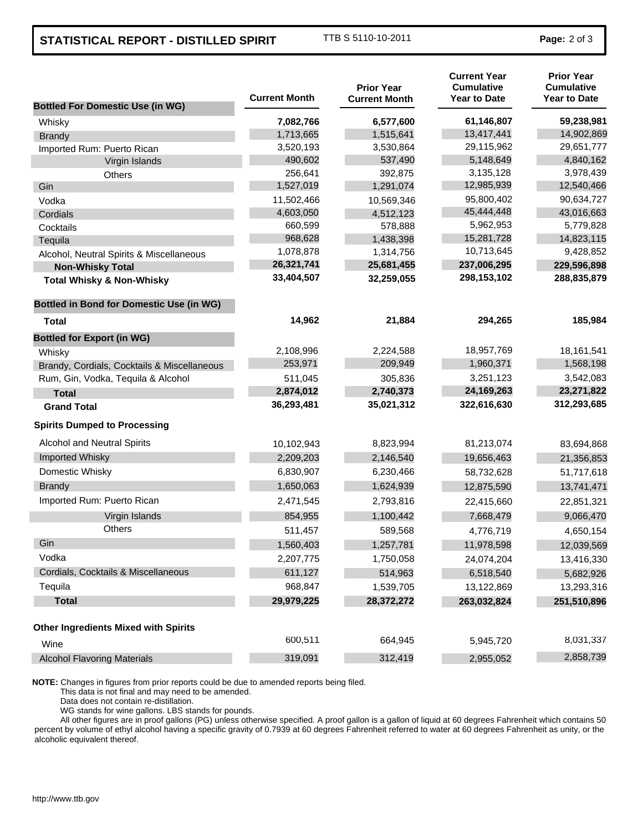## **STATISTICAL REPORT - DISTILLED SPIRIT** TTB S 5110-10-2011 **Page:** 2 of 3

| <b>Bottled For Domestic Use (in WG)</b>         | <b>Current Month</b> | <b>Prior Year</b><br><b>Current Month</b> | <b>Current Year</b><br><b>Cumulative</b><br><b>Year to Date</b> | <b>Prior Year</b><br><b>Cumulative</b><br><b>Year to Date</b> |
|-------------------------------------------------|----------------------|-------------------------------------------|-----------------------------------------------------------------|---------------------------------------------------------------|
| Whisky                                          | 7,082,766            | 6,577,600                                 | 61,146,807                                                      | 59,238,981                                                    |
| <b>Brandy</b>                                   | 1,713,665            | 1,515,641                                 | 13,417,441                                                      | 14,902,869                                                    |
| Imported Rum: Puerto Rican                      | 3,520,193            | 3,530,864                                 | 29,115,962                                                      | 29,651,777                                                    |
| Virgin Islands                                  | 490,602              | 537,490                                   | 5,148,649                                                       | 4,840,162                                                     |
| Others                                          | 256,641              | 392,875                                   | 3,135,128                                                       | 3,978,439                                                     |
| Gin                                             | 1,527,019            | 1,291,074                                 | 12,985,939                                                      | 12,540,466                                                    |
| Vodka                                           | 11,502,466           | 10,569,346                                | 95,800,402                                                      | 90,634,727                                                    |
| Cordials                                        | 4,603,050            | 4,512,123                                 | 45,444,448                                                      | 43,016,663                                                    |
| Cocktails                                       | 660,599              | 578,888                                   | 5,962,953                                                       | 5,779,828                                                     |
| Tequila                                         | 968,628              | 1,438,398                                 | 15,281,728                                                      | 14,823,115                                                    |
| Alcohol, Neutral Spirits & Miscellaneous        | 1,078,878            | 1,314,756                                 | 10,713,645                                                      | 9,428,852                                                     |
| <b>Non-Whisky Total</b>                         | 26,321,741           | 25,681,455                                | 237,006,295                                                     | 229,596,898                                                   |
| <b>Total Whisky &amp; Non-Whisky</b>            | 33,404,507           | 32,259,055                                | 298,153,102                                                     | 288,835,879                                                   |
| <b>Bottled in Bond for Domestic Use (in WG)</b> |                      |                                           |                                                                 |                                                               |
| Total                                           | 14,962               | 21,884                                    | 294,265                                                         | 185,984                                                       |
| <b>Bottled for Export (in WG)</b>               |                      |                                           |                                                                 |                                                               |
| Whisky                                          | 2,108,996            | 2,224,588                                 | 18,957,769                                                      | 18,161,541                                                    |
| Brandy, Cordials, Cocktails & Miscellaneous     | 253,971              | 209,949                                   | 1,960,371                                                       | 1,568,198                                                     |
| Rum, Gin, Vodka, Tequila & Alcohol              | 511,045              | 305,836                                   | 3,251,123                                                       | 3,542,083                                                     |
| <b>Total</b>                                    | 2,874,012            | 2,740,373                                 | 24,169,263                                                      | 23,271,822                                                    |
| <b>Grand Total</b>                              | 36,293,481           | 35,021,312                                | 322,616,630                                                     | 312,293,685                                                   |
| <b>Spirits Dumped to Processing</b>             |                      |                                           |                                                                 |                                                               |
| Alcohol and Neutral Spirits                     | 10,102,943           | 8,823,994                                 | 81,213,074                                                      | 83,694,868                                                    |
| Imported Whisky                                 | 2,209,203            | 2,146,540                                 | 19,656,463                                                      | 21,356,853                                                    |
| Domestic Whisky                                 | 6,830,907            | 6,230,466                                 | 58,732,628                                                      | 51,717,618                                                    |
| <b>Brandy</b>                                   | 1,650,063            | 1,624,939                                 | 12,875,590                                                      | 13,741,471                                                    |
| Imported Rum: Puerto Rican                      | 2,471,545            | 2,793,816                                 | 22,415,660                                                      | 22,851,321                                                    |
| Virgin Islands                                  | 854,955              | 1,100,442                                 | 7,668,479                                                       | 9,066,470                                                     |
| <b>Others</b>                                   | 511,457              | 589,568                                   | 4,776,719                                                       | 4,650,154                                                     |
| Gin                                             | 1,560,403            | 1,257,781                                 | 11,978,598                                                      | 12,039,569                                                    |
| Vodka                                           | 2,207,775            | 1,750,058                                 | 24,074,204                                                      | 13,416,330                                                    |
| Cordials, Cocktails & Miscellaneous             | 611,127              | 514,963                                   | 6,518,540                                                       | 5,682,926                                                     |
| Tequila                                         | 968,847              | 1,539,705                                 | 13,122,869                                                      | 13,293,316                                                    |
| <b>Total</b>                                    | 29,979,225           | 28,372,272                                | 263,032,824                                                     | 251,510,896                                                   |
| <b>Other Ingredients Mixed with Spirits</b>     |                      |                                           |                                                                 |                                                               |
| Wine                                            | 600,511              | 664,945                                   | 5,945,720                                                       | 8,031,337                                                     |
| <b>Alcohol Flavoring Materials</b>              | 319,091              | 312,419                                   | 2,955,052                                                       | 2,858,739                                                     |

**NOTE:** Changes in figures from prior reports could be due to amended reports being filed.

This data is not final and may need to be amended.

Data does not contain re-distillation.

WG stands for wine gallons. LBS stands for pounds.

All other figures are in proof gallons (PG) unless otherwise specified. A proof gallon is a gallon of liquid at 60 degrees Fahrenheit which contains 50 percent by volume of ethyl alcohol having a specific gravity of 0.7939 at 60 degrees Fahrenheit referred to water at 60 degrees Fahrenheit as unity, or the alcoholic equivalent thereof.